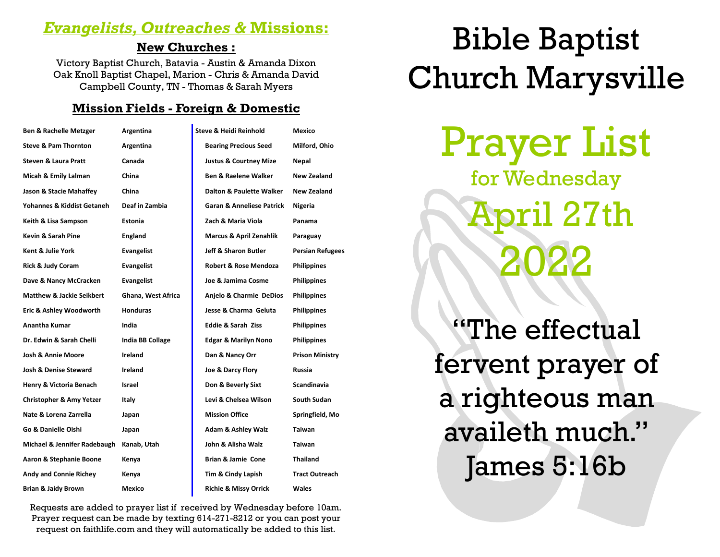## *Evangelists, Outreaches &* **Missions:**

#### **New Churches :**

Victory Baptist Church, Batavia - Austin & Amanda Dixon Oak Knoll Baptist Chapel, Marion - Chris & Amanda David Campbell County, TN - Thomas & Sarah Myers

#### **Mission Fields - Foreign & Domestic**

| <b>Ben &amp; Rachelle Metzger</b>    | Argentina               | Steve & Heidi Reinhold               | Mexico                  |
|--------------------------------------|-------------------------|--------------------------------------|-------------------------|
| <b>Steve &amp; Pam Thornton</b>      | Argentina               | <b>Bearing Precious Seed</b>         | Milford, Ohio           |
| <b>Steven &amp; Laura Pratt</b>      | Canada                  | <b>Justus &amp; Courtney Mize</b>    | Nepal                   |
| Micah & Emily Lalman                 | China                   | <b>Ben &amp; Raelene Walker</b>      | New Zealand             |
| Jason & Stacie Mahaffey              | China                   | Dalton & Paulette Walker             | New Zealand             |
| Yohannes & Kiddist Getaneh           | Deaf in Zambia          | <b>Garan &amp; Anneliese Patrick</b> | Nigeria                 |
| Keith & Lisa Sampson                 | Estonia                 | Zach & Maria Viola                   | Panama                  |
| Kevin & Sarah Pine                   | <b>England</b>          | <b>Marcus &amp; April Zenahlik</b>   | Paraguay                |
| Kent & Julie York                    | <b>Evangelist</b>       | Jeff & Sharon Butler                 | <b>Persian Refugees</b> |
| Rick & Judy Coram                    | <b>Evangelist</b>       | <b>Robert &amp; Rose Mendoza</b>     | <b>Philippines</b>      |
| Dave & Nancy McCracken               | Evangelist              | Joe & Jamima Cosme                   | <b>Philippines</b>      |
| <b>Matthew &amp; Jackie Seikbert</b> | Ghana, West Africa      | Anjelo & Charmie DeDios              | <b>Philippines</b>      |
| Eric & Ashley Woodworth              | <b>Honduras</b>         | Jesse & Charma Geluta                | <b>Philippines</b>      |
| <b>Anantha Kumar</b>                 | India                   | <b>Eddie &amp; Sarah Ziss</b>        | <b>Philippines</b>      |
| Dr. Edwin & Sarah Chelli             | <b>India BB Collage</b> | <b>Edgar &amp; Marilyn Nono</b>      | <b>Philippines</b>      |
| <b>Josh &amp; Annie Moore</b>        | Ireland                 | Dan & Nancy Orr                      | <b>Prison Ministry</b>  |
| <b>Josh &amp; Denise Steward</b>     | Ireland                 | Joe & Darcy Flory                    | Russia                  |
| Henry & Victoria Benach              | Israel                  | Don & Beverly Sixt                   | Scandinavia             |
| <b>Christopher &amp; Amy Yetzer</b>  | Italy                   | Levi & Chelsea Wilson                | South Sudan             |
| Nate & Lorena Zarrella               | Japan                   | <b>Mission Office</b>                | Springfield, Mo         |
| Go & Danielle Oishi                  | Japan                   | <b>Adam &amp; Ashley Walz</b>        | Taiwan                  |
| Michael & Jennifer Radebaugh         | Kanab, Utah             | John & Alisha Walz                   | <b>Taiwan</b>           |
| Aaron & Stephanie Boone              | Kenya                   | Brian & Jamie Cone                   | <b>Thailand</b>         |
| <b>Andy and Connie Richey</b>        | Kenya                   | Tim & Cindy Lapish                   | <b>Tract Outreach</b>   |
| <b>Brian &amp; Jaidy Brown</b>       | Mexico                  | <b>Richie &amp; Missy Orrick</b>     | Wales                   |

Requests are added to prayer list if received by Wednesday before 10am. Prayer request can be made by texting 614-271-8212 or you can post your request on faithlife.com and they will automatically be added to this list.

# Bible Baptist Church Marysville

Prayer List for Wednesday April 27th 2022

"The effectual fervent prayer of a righteous man availeth much." James 5:16b